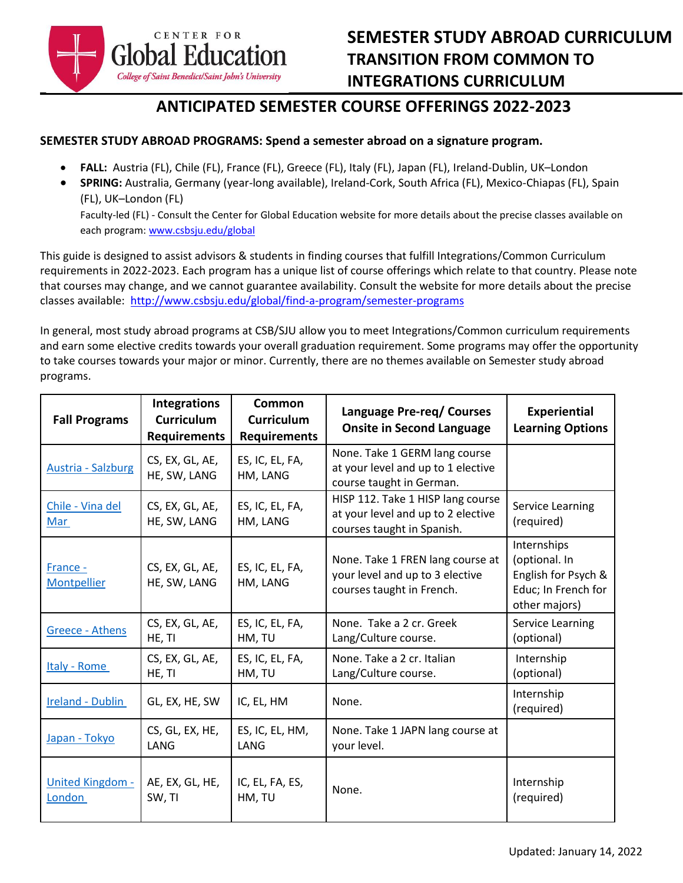

## **ANTICIPATED SEMESTER COURSE OFFERINGS 2022-2023**

## **SEMESTER STUDY ABROAD PROGRAMS: Spend a semester abroad on a signature program.**

- **FALL:** Austria (FL), Chile (FL), France (FL), Greece (FL), Italy (FL), Japan (FL), Ireland-Dublin, UK–London
- **SPRING:** Australia, Germany (year-long available), Ireland-Cork, South Africa (FL), Mexico-Chiapas (FL), Spain (FL), UK–London (FL) Faculty-led (FL) - Consult the Center for Global Education website for more details about the precise classes available on each program[: www.csbsju.edu/global](http://www.csbsju.edu/global/find-a-program/semester-programs)

This guide is designed to assist advisors & students in finding courses that fulfill Integrations/Common Curriculum requirements in 2022-2023. Each program has a unique list of course offerings which relate to that country. Please note that courses may change, and we cannot guarantee availability. Consult the website for more details about the precise classes available: <http://www.csbsju.edu/global/find-a-program/semester-programs>

In general, most study abroad programs at CSB/SJU allow you to meet Integrations/Common curriculum requirements and earn some elective credits towards your overall graduation requirement. Some programs may offer the opportunity to take courses towards your major or minor. Currently, there are no themes available on Semester study abroad programs.

| <b>Fall Programs</b>              | <b>Integrations</b><br><b>Curriculum</b><br><b>Requirements</b> | <b>Common</b><br><b>Curriculum</b><br><b>Requirements</b> | Language Pre-req/ Courses<br><b>Onsite in Second Language</b>                                         | <b>Experiential</b><br><b>Learning Options</b>                                              |
|-----------------------------------|-----------------------------------------------------------------|-----------------------------------------------------------|-------------------------------------------------------------------------------------------------------|---------------------------------------------------------------------------------------------|
| <b>Austria - Salzburg</b>         | CS, EX, GL, AE,<br>HE, SW, LANG                                 | ES, IC, EL, FA,<br>HM, LANG                               | None. Take 1 GERM lang course<br>at your level and up to 1 elective<br>course taught in German.       |                                                                                             |
| Chile - Vina del<br>Mar           | CS, EX, GL, AE,<br>HE, SW, LANG                                 | ES, IC, EL, FA,<br>HM, LANG                               | HISP 112. Take 1 HISP lang course<br>at your level and up to 2 elective<br>courses taught in Spanish. | Service Learning<br>(required)                                                              |
| France -<br>Montpellier           | CS, EX, GL, AE,<br>HE, SW, LANG                                 | ES, IC, EL, FA,<br>HM, LANG                               | None. Take 1 FREN lang course at<br>your level and up to 3 elective<br>courses taught in French.      | Internships<br>(optional. In<br>English for Psych &<br>Educ; In French for<br>other majors) |
| Greece - Athens                   | CS, EX, GL, AE,<br>HE, TI                                       | ES, IC, EL, FA,<br>HM, TU                                 | None. Take a 2 cr. Greek<br>Lang/Culture course.                                                      | Service Learning<br>(optional)                                                              |
| Italy - Rome                      | CS, EX, GL, AE,<br>HE, TI                                       | ES, IC, EL, FA,<br>HM, TU                                 | None. Take a 2 cr. Italian<br>Lang/Culture course.                                                    | Internship<br>(optional)                                                                    |
| Ireland - Dublin                  | GL, EX, HE, SW                                                  | IC, EL, HM                                                | None.                                                                                                 | Internship<br>(required)                                                                    |
| Japan - Tokyo                     | CS, GL, EX, HE,<br>LANG                                         | ES, IC, EL, HM,<br>LANG                                   | None. Take 1 JAPN lang course at<br>your level.                                                       |                                                                                             |
| <b>United Kingdom -</b><br>London | AE, EX, GL, HE,<br>SW, TI                                       | IC, EL, FA, ES,<br>HM, TU                                 | None.                                                                                                 | Internship<br>(required)                                                                    |